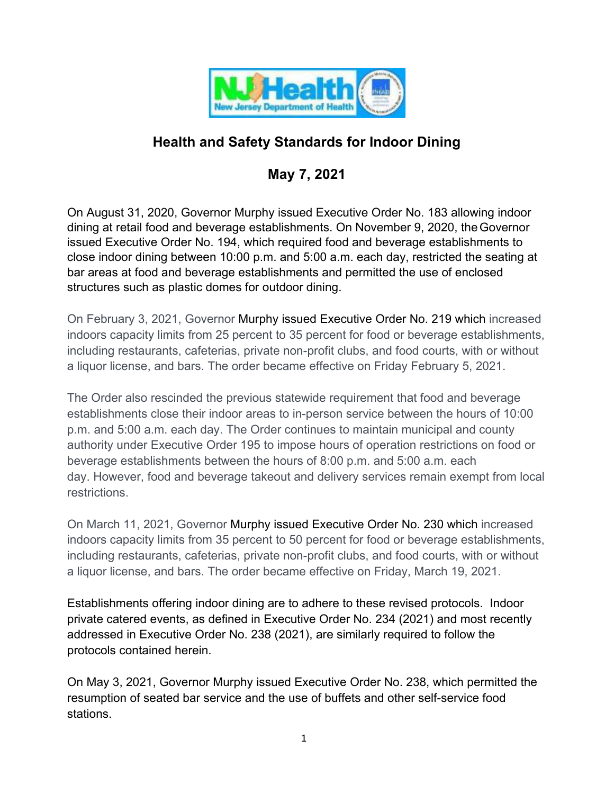

# **Health and Safety Standards for Indoor Dining**

# **May 7, 2021**

On August 31, 2020, Governor Murphy issued Executive Order No. 183 allowing indoor dining at retail food and beverage establishments. On November 9, 2020, theGovernor issued Executive Order No. 194, which required food and beverage establishments to close indoor dining between 10:00 p.m. and 5:00 a.m. each day, restricted the seating at bar areas at food and beverage establishments and permitted the use of enclosed structures such as plastic domes for outdoor dining.

On February 3, 2021, Governor Murphy issued Executive Order No. 219 which increased indoors capacity limits from 25 percent to 35 percent for food or beverage establishments, including restaurants, cafeterias, private non-profit clubs, and food courts, with or without a liquor license, and bars. The order became effective on Friday February 5, 2021.

The Order also rescinded the previous statewide requirement that food and beverage establishments close their indoor areas to in-person service between the hours of 10:00 p.m. and 5:00 a.m. each day. The Order continues to maintain municipal and county authority under Executive Order 195 to impose hours of operation restrictions on food or beverage establishments between the hours of 8:00 p.m. and 5:00 a.m. each day. However, food and beverage takeout and delivery services remain exempt from local restrictions.

On March 11, 2021, Governor Murphy issued Executive Order No. 230 which increased indoors capacity limits from 35 percent to 50 percent for food or beverage establishments, including restaurants, cafeterias, private non-profit clubs, and food courts, with or without a liquor license, and bars. The order became effective on Friday, March 19, 2021.

Establishments offering indoor dining are to adhere to these revised protocols. Indoor private catered events, as defined in Executive Order No. 234 (2021) and most recently addressed in Executive Order No. 238 (2021), are similarly required to follow the protocols contained herein.

On May 3, 2021, Governor Murphy issued Executive Order No. 238, which permitted the resumption of seated bar service and the use of buffets and other self-service food stations.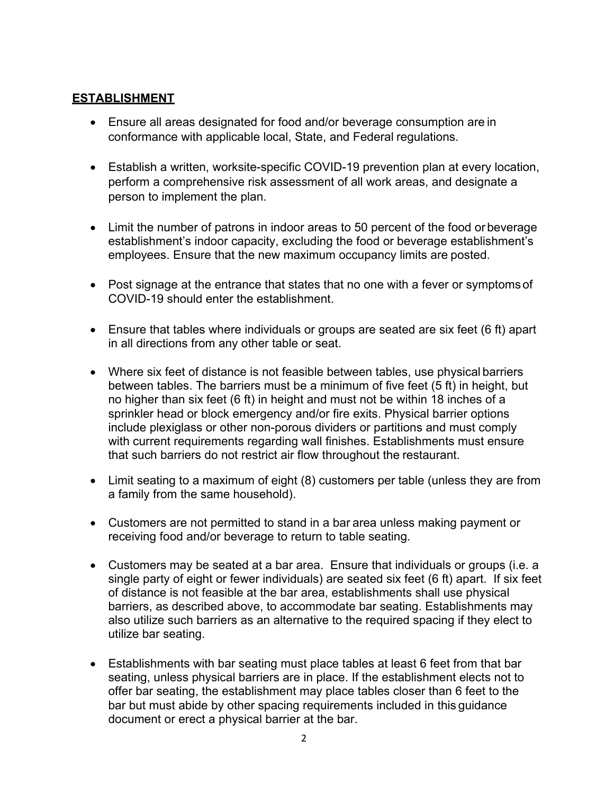### **ESTABLISHMENT**

- Ensure all areas designated for food and/or beverage consumption are in conformance with applicable local, State, and Federal regulations.
- Establish a written, worksite-specific COVID-19 prevention plan at every location, perform a comprehensive risk assessment of all work areas, and designate a person to implement the plan.
- Limit the number of patrons in indoor areas to 50 percent of the food or beverage establishment's indoor capacity, excluding the food or beverage establishment's employees. Ensure that the new maximum occupancy limits are posted.
- Post signage at the entrance that states that no one with a fever or symptoms of COVID-19 should enter the establishment.
- Ensure that tables where individuals or groups are seated are six feet (6 ft) apart in all directions from any other table or seat.
- Where six feet of distance is not feasible between tables, use physical barriers between tables. The barriers must be a minimum of five feet (5 ft) in height, but no higher than six feet (6 ft) in height and must not be within 18 inches of a sprinkler head or block emergency and/or fire exits. Physical barrier options include plexiglass or other non-porous dividers or partitions and must comply with current requirements regarding wall finishes. Establishments must ensure that such barriers do not restrict air flow throughout the restaurant.
- Limit seating to a maximum of eight (8) customers per table (unless they are from a family from the same household).
- Customers are not permitted to stand in a bar area unless making payment or receiving food and/or beverage to return to table seating.
- Customers may be seated at a bar area. Ensure that individuals or groups (i.e. a single party of eight or fewer individuals) are seated six feet (6 ft) apart. If six feet of distance is not feasible at the bar area, establishments shall use physical barriers, as described above, to accommodate bar seating. Establishments may also utilize such barriers as an alternative to the required spacing if they elect to utilize bar seating.
- Establishments with bar seating must place tables at least 6 feet from that bar seating, unless physical barriers are in place. If the establishment elects not to offer bar seating, the establishment may place tables closer than 6 feet to the bar but must abide by other spacing requirements included in this guidance document or erect a physical barrier at the bar.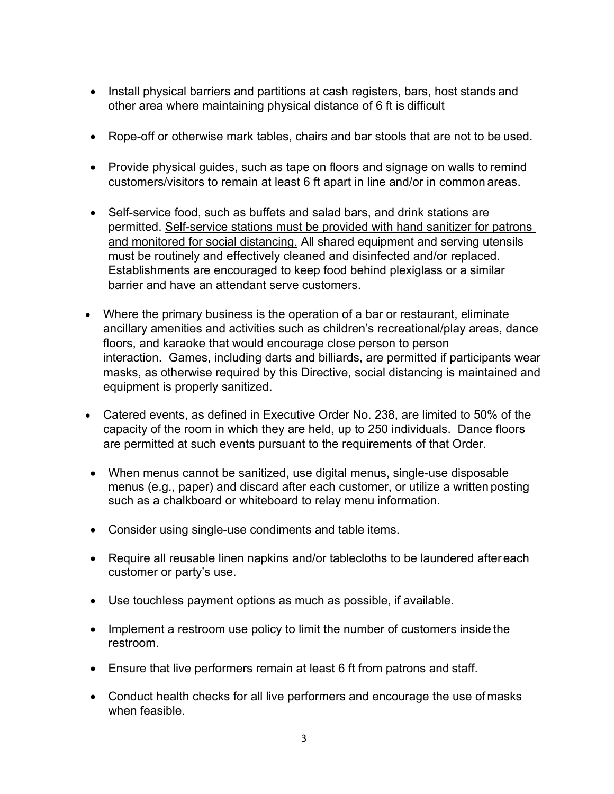- Install physical barriers and partitions at cash registers, bars, host stands and other area where maintaining physical distance of 6 ft is difficult
- Rope-off or otherwise mark tables, chairs and bar stools that are not to be used.
- Provide physical guides, such as tape on floors and signage on walls to remind customers/visitors to remain at least 6 ft apart in line and/or in common areas.
- Self-service food, such as buffets and salad bars, and drink stations are permitted. Self-service stations must be provided with hand sanitizer for patrons and monitored for social distancing. All shared equipment and serving utensils must be routinely and effectively cleaned and disinfected and/or replaced. Establishments are encouraged to keep food behind plexiglass or a similar barrier and have an attendant serve customers.
- Where the primary business is the operation of a bar or restaurant, eliminate ancillary amenities and activities such as children's recreational/play areas, dance floors, and karaoke that would encourage close person to person interaction. Games, including darts and billiards, are permitted if participants wear masks, as otherwise required by this Directive, social distancing is maintained and equipment is properly sanitized.
- Catered events, as defined in Executive Order No. 238, are limited to 50% of the capacity of the room in which they are held, up to 250 individuals. Dance floors are permitted at such events pursuant to the requirements of that Order.
- When menus cannot be sanitized, use digital menus, single-use disposable menus (e.g., paper) and discard after each customer, or utilize a written posting such as a chalkboard or whiteboard to relay menu information.
- Consider using single-use condiments and table items.
- Require all reusable linen napkins and/or tablecloths to be laundered after each customer or party's use.
- Use touchless payment options as much as possible, if available.
- Implement a restroom use policy to limit the number of customers inside the restroom.
- Ensure that live performers remain at least 6 ft from patrons and staff.
- Conduct health checks for all live performers and encourage the use of masks when feasible.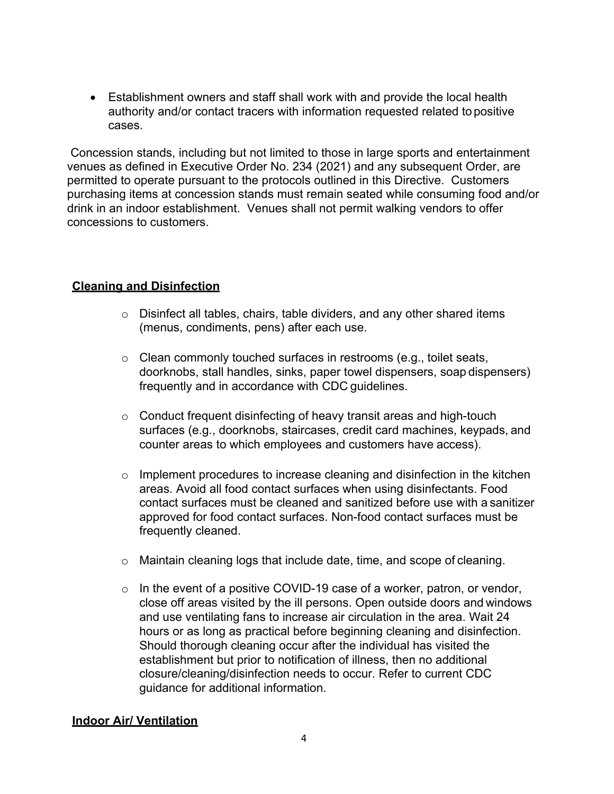• Establishment owners and staff shall work with and provide the local health authority and/or contact tracers with information requested related topositive cases.

Concession stands, including but not limited to those in large sports and entertainment venues as defined in Executive Order No. 234 (2021) and any subsequent Order, are permitted to operate pursuant to the protocols outlined in this Directive. Customers purchasing items at concession stands must remain seated while consuming food and/or drink in an indoor establishment. Venues shall not permit walking vendors to offer concessions to customers.

### **Cleaning and Disinfection**

- o Disinfect all tables, chairs, table dividers, and any other shared items (menus, condiments, pens) after each use.
- o Clean commonly touched surfaces in restrooms (e.g., toilet seats, doorknobs, stall handles, sinks, paper towel dispensers, soap dispensers) frequently and in accordance with CDC guidelines.
- o Conduct frequent disinfecting of heavy transit areas and high-touch surfaces (e.g., doorknobs, staircases, credit card machines, keypads, and counter areas to which employees and customers have access).
- o Implement procedures to increase cleaning and disinfection in the kitchen areas. Avoid all food contact surfaces when using disinfectants. Food contact surfaces must be cleaned and sanitized before use with a sanitizer approved for food contact surfaces. Non-food contact surfaces must be frequently cleaned.
- o Maintain cleaning logs that include date, time, and scope of cleaning.
- o In the event of a positive COVID-19 case of a worker, patron, or vendor, close off areas visited by the ill persons. Open outside doors and windows and use ventilating fans to increase air circulation in the area. Wait 24 hours or as long as practical before beginning cleaning and disinfection. Should thorough cleaning occur after the individual has visited the establishment but prior to notification of illness, then no additional closure/cleaning/disinfection needs to occur. Refer to current CDC guidance for additional information.

#### **Indoor Air/ Ventilation**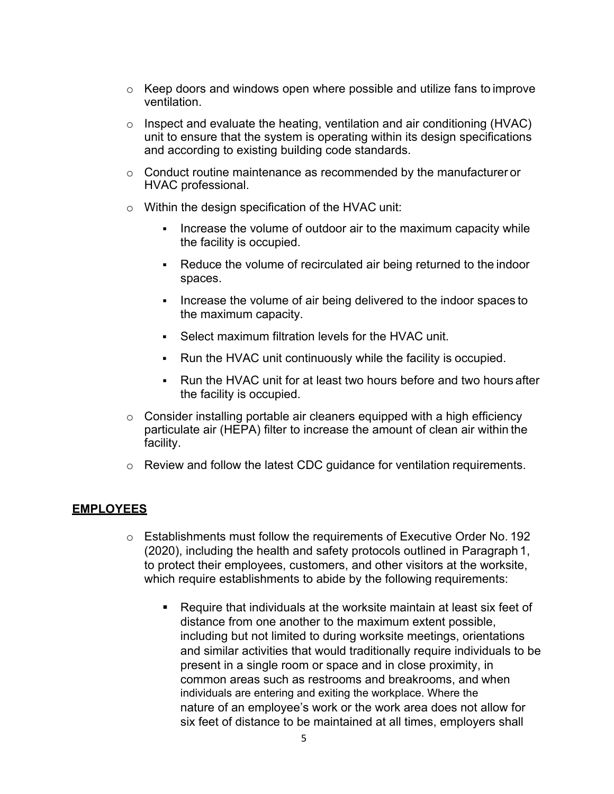- $\circ$  Keep doors and windows open where possible and utilize fans to improve ventilation.
- o Inspect and evaluate the heating, ventilation and air conditioning (HVAC) unit to ensure that the system is operating within its design specifications and according to existing building code standards.
- $\circ$  Conduct routine maintenance as recommended by the manufacturer or HVAC professional.
- $\circ$  Within the design specification of the HVAC unit:
	- Increase the volume of outdoor air to the maximum capacity while the facility is occupied.
	- Reduce the volume of recirculated air being returned to the indoor spaces.
	- Increase the volume of air being delivered to the indoor spaces to the maximum capacity.
	- Select maximum filtration levels for the HVAC unit.
	- Run the HVAC unit continuously while the facility is occupied.
	- Run the HVAC unit for at least two hours before and two hours after the facility is occupied.
- $\circ$  Consider installing portable air cleaners equipped with a high efficiency particulate air (HEPA) filter to increase the amount of clean air within the facility.
- o Review and follow the latest CDC guidance for ventilation requirements.

#### **EMPLOYEES**

- $\circ$  Establishments must follow the requirements of Executive Order No. 192 (2020), including the health and safety protocols outlined in Paragraph 1, to protect their employees, customers, and other visitors at the worksite, which require establishments to abide by the following requirements:
	- Require that individuals at the worksite maintain at least six feet of distance from one another to the maximum extent possible, including but not limited to during worksite meetings, orientations and similar activities that would traditionally require individuals to be present in a single room or space and in close proximity, in common areas such as restrooms and breakrooms, and when individuals are entering and exiting the workplace. Where the nature of an employee's work or the work area does not allow for six feet of distance to be maintained at all times, employers shall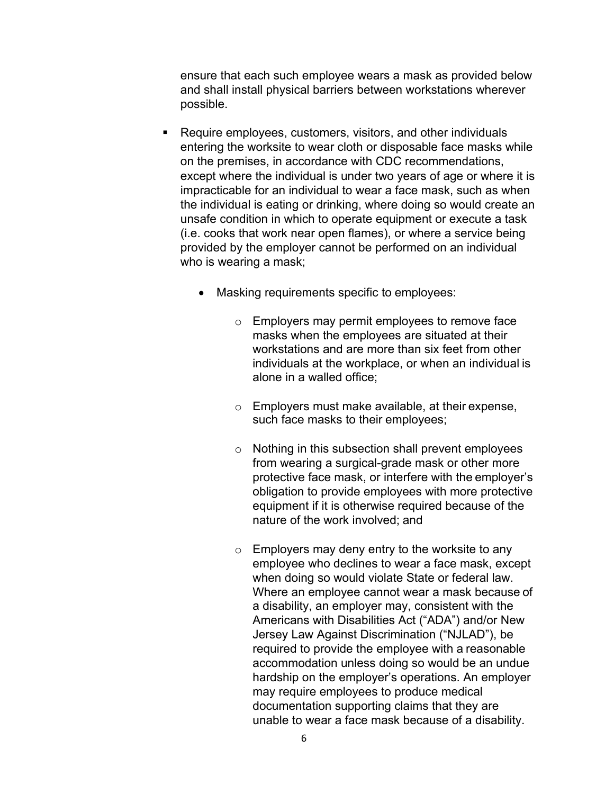ensure that each such employee wears a mask as provided below and shall install physical barriers between workstations wherever possible.

- Require employees, customers, visitors, and other individuals entering the worksite to wear cloth or disposable face masks while on the premises, in accordance with CDC recommendations, except where the individual is under two years of age or where it is impracticable for an individual to wear a face mask, such as when the individual is eating or drinking, where doing so would create an unsafe condition in which to operate equipment or execute a task (i.e. cooks that work near open flames), or where a service being provided by the employer cannot be performed on an individual who is wearing a mask;
	- Masking requirements specific to employees:
		- o Employers may permit employees to remove face masks when the employees are situated at their workstations and are more than six feet from other individuals at the workplace, or when an individual is alone in a walled office;
		- o Employers must make available, at their expense, such face masks to their employees;
		- o Nothing in this subsection shall prevent employees from wearing a surgical-grade mask or other more protective face mask, or interfere with the employer's obligation to provide employees with more protective equipment if it is otherwise required because of the nature of the work involved; and
		- $\circ$  Employers may deny entry to the worksite to any employee who declines to wear a face mask, except when doing so would violate State or federal law. Where an employee cannot wear a mask because of a disability, an employer may, consistent with the Americans with Disabilities Act ("ADA") and/or New Jersey Law Against Discrimination ("NJLAD"), be required to provide the employee with a reasonable accommodation unless doing so would be an undue hardship on the employer's operations. An employer may require employees to produce medical documentation supporting claims that they are unable to wear a face mask because of a disability.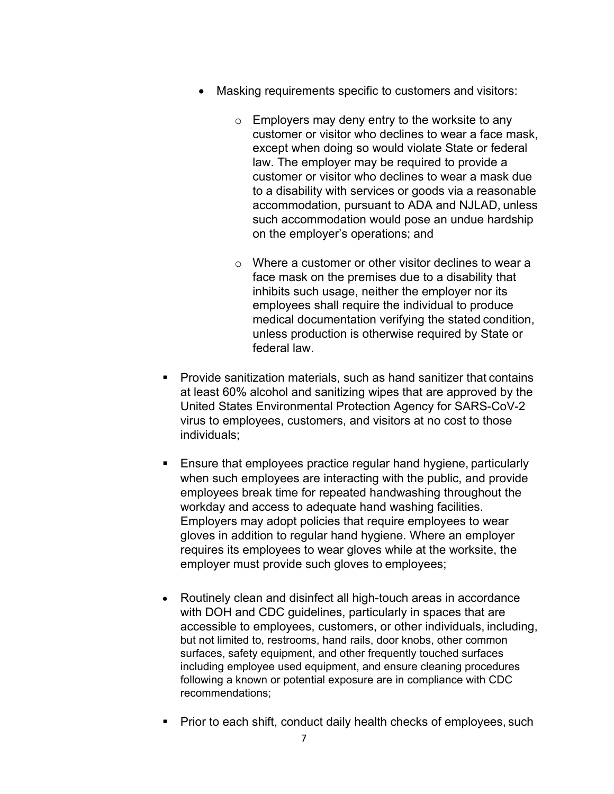- Masking requirements specific to customers and visitors:
	- $\circ$  Employers may deny entry to the worksite to any customer or visitor who declines to wear a face mask, except when doing so would violate State or federal law. The employer may be required to provide a customer or visitor who declines to wear a mask due to a disability with services or goods via a reasonable accommodation, pursuant to ADA and NJLAD, unless such accommodation would pose an undue hardship on the employer's operations; and
	- $\circ$  Where a customer or other visitor declines to wear a face mask on the premises due to a disability that inhibits such usage, neither the employer nor its employees shall require the individual to produce medical documentation verifying the stated condition, unless production is otherwise required by State or federal law.
- Provide sanitization materials, such as hand sanitizer that contains at least 60% alcohol and sanitizing wipes that are approved by the United States Environmental Protection Agency for SARS-CoV-2 virus to employees, customers, and visitors at no cost to those individuals;
- Ensure that employees practice regular hand hygiene, particularly when such employees are interacting with the public, and provide employees break time for repeated handwashing throughout the workday and access to adequate hand washing facilities. Employers may adopt policies that require employees to wear gloves in addition to regular hand hygiene. Where an employer requires its employees to wear gloves while at the worksite, the employer must provide such gloves to employees;
- Routinely clean and disinfect all high-touch areas in accordance with DOH and CDC guidelines, particularly in spaces that are accessible to employees, customers, or other individuals, including, but not limited to, restrooms, hand rails, door knobs, other common surfaces, safety equipment, and other frequently touched surfaces including employee used equipment, and ensure cleaning procedures following a known or potential exposure are in compliance with CDC recommendations;
- Prior to each shift, conduct daily health checks of employees, such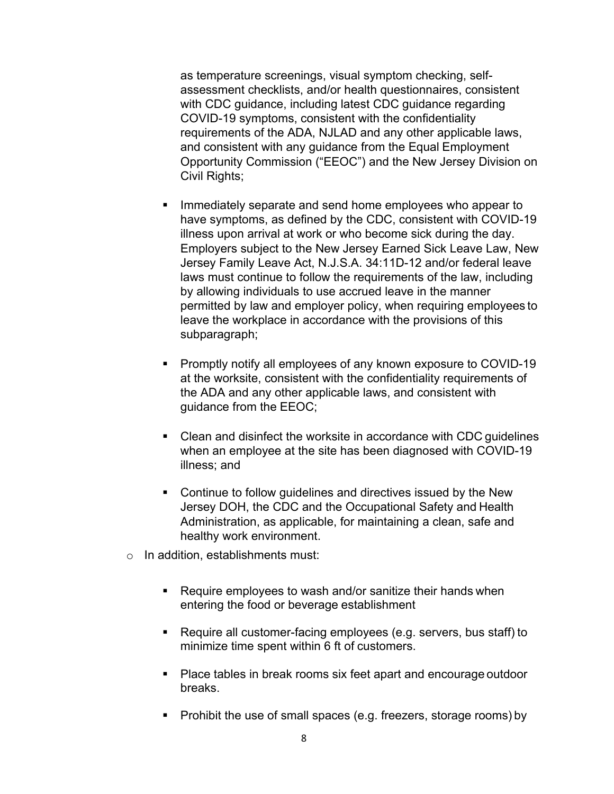as temperature screenings, visual symptom checking, selfassessment checklists, and/or health questionnaires, consistent with CDC guidance, including latest CDC guidance regarding COVID-19 symptoms, consistent with the confidentiality requirements of the ADA, NJLAD and any other applicable laws, and consistent with any guidance from the Equal Employment Opportunity Commission ("EEOC") and the New Jersey Division on Civil Rights;

- **IMMED 19 Immediately separate and send home employees who appear to** have symptoms, as defined by the CDC, consistent with COVID-19 illness upon arrival at work or who become sick during the day. Employers subject to the New Jersey Earned Sick Leave Law, New Jersey Family Leave Act, N.J.S.A. 34:11D-12 and/or federal leave laws must continue to follow the requirements of the law, including by allowing individuals to use accrued leave in the manner permitted by law and employer policy, when requiring employees to leave the workplace in accordance with the provisions of this subparagraph;
- **Promptly notify all employees of any known exposure to COVID-19** at the worksite, consistent with the confidentiality requirements of the ADA and any other applicable laws, and consistent with guidance from the EEOC;
- Clean and disinfect the worksite in accordance with CDC guidelines when an employee at the site has been diagnosed with COVID-19 illness; and
- **EXECONTER 10 Continue to follow guidelines and directives issued by the New** Jersey DOH, the CDC and the Occupational Safety and Health Administration, as applicable, for maintaining a clean, safe and healthy work environment.
- o In addition, establishments must:
	- Require employees to wash and/or sanitize their hands when entering the food or beverage establishment
	- Require all customer-facing employees (e.g. servers, bus staff) to minimize time spent within 6 ft of customers.
	- Place tables in break rooms six feet apart and encourage outdoor breaks.
	- Prohibit the use of small spaces (e.g. freezers, storage rooms) by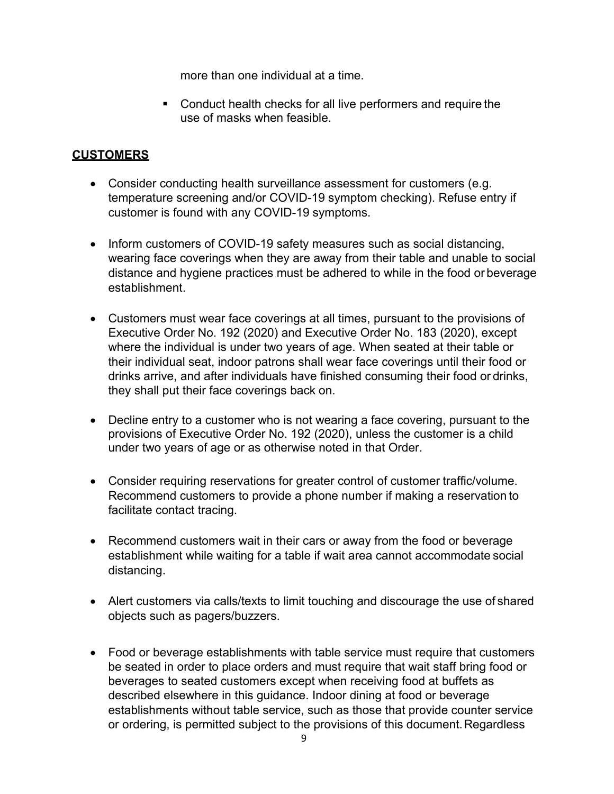more than one individual at a time.

 Conduct health checks for all live performers and require the use of masks when feasible.

## **CUSTOMERS**

- Consider conducting health surveillance assessment for customers (e.g. temperature screening and/or COVID-19 symptom checking). Refuse entry if customer is found with any COVID-19 symptoms.
- Inform customers of COVID-19 safety measures such as social distancing, wearing face coverings when they are away from their table and unable to social distance and hygiene practices must be adhered to while in the food or beverage establishment.
- Customers must wear face coverings at all times, pursuant to the provisions of Executive Order No. 192 (2020) and Executive Order No. 183 (2020), except where the individual is under two years of age. When seated at their table or their individual seat, indoor patrons shall wear face coverings until their food or drinks arrive, and after individuals have finished consuming their food or drinks, they shall put their face coverings back on.
- Decline entry to a customer who is not wearing a face covering, pursuant to the provisions of Executive Order No. 192 (2020), unless the customer is a child under two years of age or as otherwise noted in that Order.
- Consider requiring reservations for greater control of customer traffic/volume. Recommend customers to provide a phone number if making a reservation to facilitate contact tracing.
- Recommend customers wait in their cars or away from the food or beverage establishment while waiting for a table if wait area cannot accommodate social distancing.
- Alert customers via calls/texts to limit touching and discourage the use of shared objects such as pagers/buzzers.
- Food or beverage establishments with table service must require that customers be seated in order to place orders and must require that wait staff bring food or beverages to seated customers except when receiving food at buffets as described elsewhere in this guidance. Indoor dining at food or beverage establishments without table service, such as those that provide counter service or ordering, is permitted subject to the provisions of this document.Regardless